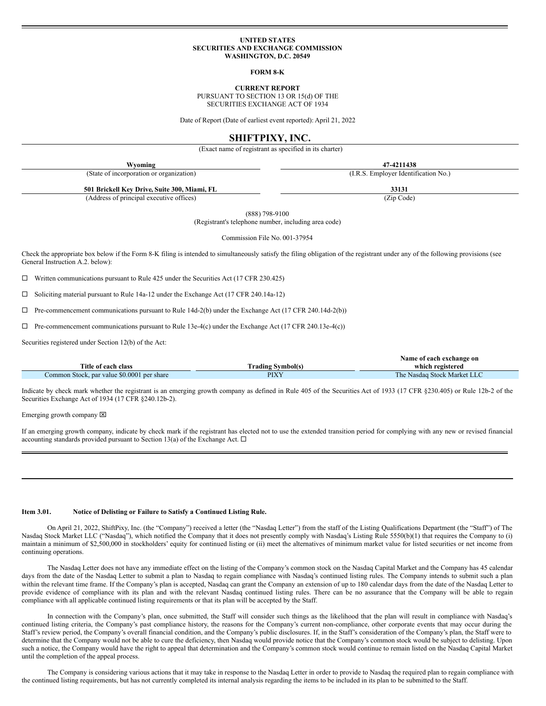#### **UNITED STATES SECURITIES AND EXCHANGE COMMISSION WASHINGTON, D.C. 20549**

**FORM 8-K**

**CURRENT REPORT**

PURSUANT TO SECTION 13 OR 15(d) OF THE SECURITIES EXCHANGE ACT OF 1934

Date of Report (Date of earliest event reported): April 21, 2022

# **SHIFTPIXY, INC.**

(Exact name of registrant as specified in its charter)

| Wyoming                                      | 47-4211438                           |  |
|----------------------------------------------|--------------------------------------|--|
| (State of incorporation or organization)     | (I.R.S. Employer Identification No.) |  |
| 501 Brickell Key Drive, Suite 300, Miami, FL | 33131                                |  |
| (Address of principal executive offices)     | (Zip Code)                           |  |

(888) 798-9100

(Registrant's telephone number, including area code)

Commission File No. 001-37954

Check the appropriate box below if the Form 8-K filing is intended to simultaneously satisfy the filing obligation of the registrant under any of the following provisions (see General Instruction A.2. below):

 $\Box$  Written communications pursuant to Rule 425 under the Securities Act (17 CFR 230.425)

 $\square$  Soliciting material pursuant to Rule 14a-12 under the Exchange Act (17 CFR 240.14a-12)

 $\Box$  Pre-commencement communications pursuant to Rule 14d-2(b) under the Exchange Act (17 CFR 240.14d-2(b))

 $\Box$  Pre-commencement communications pursuant to Rule 13e-4(c) under the Exchange Act (17 CFR 240.13e-4(c))

Securities registered under Section 12(b) of the Act:

|                                            |                          | Name of each exchange on    |
|--------------------------------------------|--------------------------|-----------------------------|
| Title of each class                        | <b>Trading Symbol(s)</b> | which registered            |
| Common Stock, par value \$0.0001 per share | PIXY                     | The Nasdag Stock Market LLC |

Indicate by check mark whether the registrant is an emerging growth company as defined in Rule 405 of the Securities Act of 1933 (17 CFR §230.405) or Rule 12b-2 of the Securities Exchange Act of 1934 (17 CFR §240.12b-2).

Emerging growth company  $\boxtimes$ 

If an emerging growth company, indicate by check mark if the registrant has elected not to use the extended transition period for complying with any new or revised financial accounting standards provided pursuant to Section 13(a) of the Exchange Act.  $\Box$ 

### **Item 3.01. Notice of Delisting or Failure to Satisfy a Continued Listing Rule.**

On April 21, 2022, ShiftPixy, Inc. (the "Company") received a letter (the "Nasdaq Letter") from the staff of the Listing Qualifications Department (the "Staff") of The Nasdaq Stock Market LLC ("Nasdaq"), which notified the Company that it does not presently comply with Nasdaq's Listing Rule 5550(b)(1) that requires the Company to (i) maintain a minimum of \$2,500,000 in stockholders' equity for continued listing or (ii) meet the alternatives of minimum market value for listed securities or net income from continuing operations.

The Nasdaq Letter does not have any immediate effect on the listing of the Company's common stock on the Nasdaq Capital Market and the Company has 45 calendar days from the date of the Nasdaq Letter to submit a plan to Nasdaq to regain compliance with Nasdaq's continued listing rules. The Company intends to submit such a plan within the relevant time frame. If the Company's plan is accepted, Nasdaq can grant the Company an extension of up to 180 calendar days from the date of the Nasdaq Letter to provide evidence of compliance with its plan and with the relevant Nasdaq continued listing rules. There can be no assurance that the Company will be able to regain compliance with all applicable continued listing requirements or that its plan will be accepted by the Staff.

In connection with the Company's plan, once submitted, the Staff will consider such things as the likelihood that the plan will result in compliance with Nasdaq's continued listing criteria, the Company's past compliance history, the reasons for the Company's current non-compliance, other corporate events that may occur during the Staff's review period, the Company's overall financial condition, and the Company's public disclosures. If, in the Staff's consideration of the Company's plan, the Staff were to determine that the Company would not be able to cure the deficiency, then Nasdaq would provide notice that the Company's common stock would be subject to delisting. Upon such a notice, the Company would have the right to appeal that determination and the Company's common stock would continue to remain listed on the Nasdaq Capital Market until the completion of the appeal process.

The Company is considering various actions that it may take in response to the Nasdaq Letter in order to provide to Nasdaq the required plan to regain compliance with the continued listing requirements, but has not currently completed its internal analysis regarding the items to be included in its plan to be submitted to the Staff.